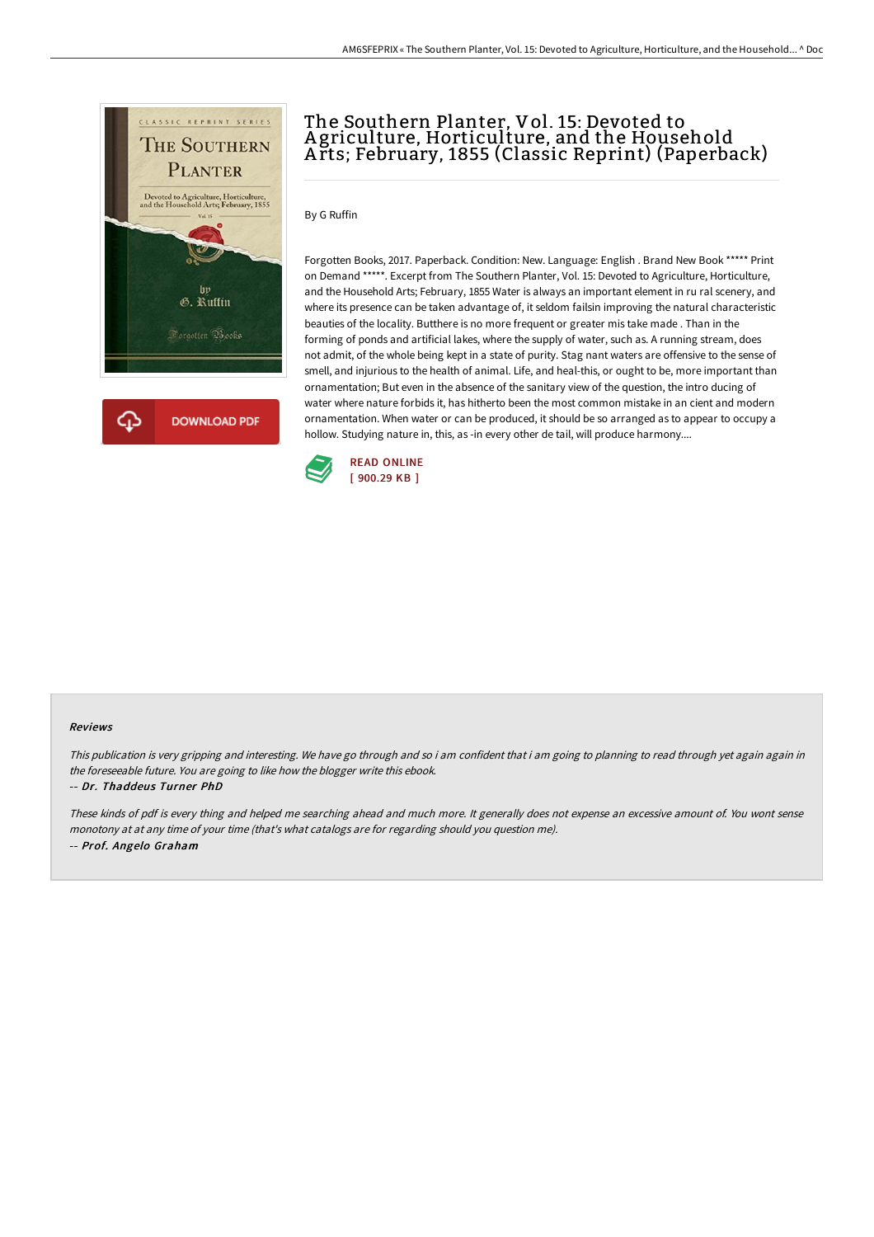

## The Southern Planter, Vol. 15: Devoted to A griculture, Horticulture, and the Household A rts; February, 1855 (Classic Reprint) (Paperback)

By G Ruffin

Forgotten Books, 2017. Paperback. Condition: New. Language: English . Brand New Book \*\*\*\*\* Print on Demand \*\*\*\*\*. Excerpt from The Southern Planter, Vol. 15: Devoted to Agriculture, Horticulture, and the Household Arts; February, 1855 Water is always an important element in ru ral scenery, and where its presence can be taken advantage of, it seldom failsin improving the natural characteristic beauties of the locality. Butthere is no more frequent or greater mis take made . Than in the forming of ponds and artificial lakes, where the supply of water, such as. A running stream, does not admit, of the whole being kept in a state of purity. Stag nant waters are offensive to the sense of smell, and injurious to the health of animal. Life, and heal-this, or ought to be, more important than ornamentation; But even in the absence of the sanitary view of the question, the intro ducing of water where nature forbids it, has hitherto been the most common mistake in an cient and modern ornamentation. When water or can be produced, it should be so arranged as to appear to occupy a hollow. Studying nature in, this, as -in every other de tail, will produce harmony....



## Reviews

This publication is very gripping and interesting. We have go through and so i am confident that i am going to planning to read through yet again again in the foreseeable future. You are going to like how the blogger write this ebook.

-- Dr. Thaddeus Turner PhD

These kinds of pdf is every thing and helped me searching ahead and much more. It generally does not expense an excessive amount of. You wont sense monotony at at any time of your time (that's what catalogs are for regarding should you question me). -- Prof. Angelo Graham